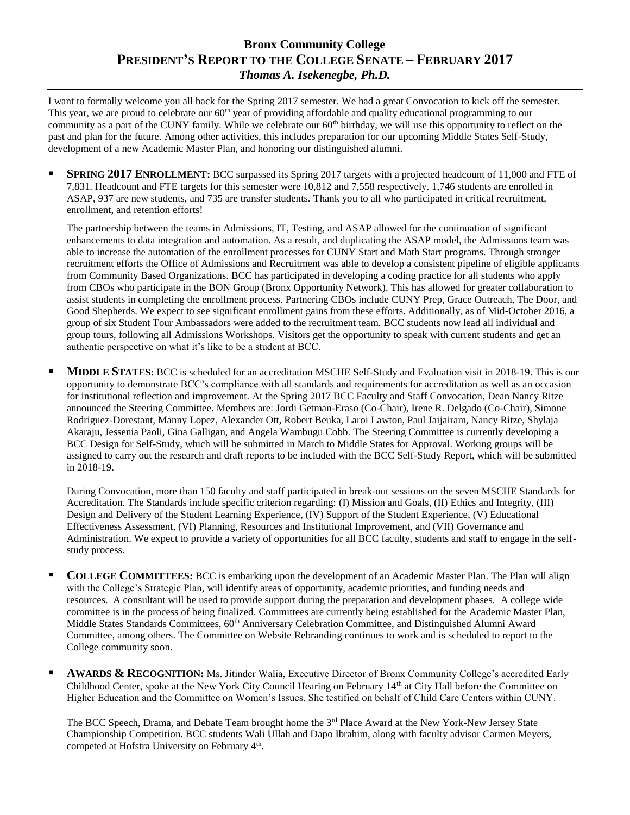## **Bronx Community College PRESIDENT'S REPORT TO THE COLLEGE SENATE – FEBRUARY 2017** *Thomas A. Isekenegbe, Ph.D.*

I want to formally welcome you all back for the Spring 2017 semester. We had a great Convocation to kick off the semester. This year, we are proud to celebrate our 60<sup>th</sup> year of providing affordable and quality educational programming to our community as a part of the CUNY family. While we celebrate our  $60<sup>th</sup>$  birthday, we will use this opportunity to reflect on the past and plan for the future. Among other activities, this includes preparation for our upcoming Middle States Self-Study, development of a new Academic Master Plan, and honoring our distinguished alumni.

 **SPRING 2017 ENROLLMENT:** BCC surpassed its Spring 2017 targets with a projected headcount of 11,000 and FTE of 7,831. Headcount and FTE targets for this semester were 10,812 and 7,558 respectively. 1,746 students are enrolled in ASAP, 937 are new students, and 735 are transfer students. Thank you to all who participated in critical recruitment, enrollment, and retention efforts!

The partnership between the teams in Admissions, IT, Testing, and ASAP allowed for the continuation of significant enhancements to data integration and automation. As a result, and duplicating the ASAP model, the Admissions team was able to increase the automation of the enrollment processes for CUNY Start and Math Start programs. Through stronger recruitment efforts the Office of Admissions and Recruitment was able to develop a consistent pipeline of eligible applicants from Community Based Organizations. BCC has participated in developing a coding practice for all students who apply from CBOs who participate in the BON Group (Bronx Opportunity Network). This has allowed for greater collaboration to assist students in completing the enrollment process. Partnering CBOs include CUNY Prep, Grace Outreach, The Door, and Good Shepherds. We expect to see significant enrollment gains from these efforts. Additionally, as of Mid-October 2016, a group of six Student Tour Ambassadors were added to the recruitment team. BCC students now lead all individual and group tours, following all Admissions Workshops. Visitors get the opportunity to speak with current students and get an authentic perspective on what it's like to be a student at BCC.

**MIDDLE STATES:** BCC is scheduled for an accreditation MSCHE Self-Study and Evaluation visit in 2018-19. This is our opportunity to demonstrate BCC's compliance with all standards and requirements for accreditation as well as an occasion for institutional reflection and improvement. At the Spring 2017 BCC Faculty and Staff Convocation, Dean Nancy Ritze announced the Steering Committee. Members are: Jordi Getman-Eraso (Co-Chair), Irene R. Delgado (Co-Chair), Simone Rodriguez-Dorestant, Manny Lopez, Alexander Ott, Robert Beuka, Laroi Lawton, Paul Jaijairam, Nancy Ritze, Shylaja Akaraju, Jessenia Paoli, Gina Galligan, and Angela Wambugu Cobb. The Steering Committee is currently developing a BCC Design for Self-Study, which will be submitted in March to Middle States for Approval. Working groups will be assigned to carry out the research and draft reports to be included with the BCC Self-Study Report, which will be submitted in 2018-19.

During Convocation, more than 150 faculty and staff participated in break-out sessions on the seven MSCHE Standards for Accreditation. The Standards include specific criterion regarding: (I) Mission and Goals, (II) Ethics and Integrity, (III) Design and Delivery of the Student Learning Experience, (IV) Support of the Student Experience, (V) Educational Effectiveness Assessment, (VI) Planning, Resources and Institutional Improvement, and (VII) Governance and Administration. We expect to provide a variety of opportunities for all BCC faculty, students and staff to engage in the selfstudy process.

- **COLLEGE COMMITTEES:** BCC is embarking upon the development of an Academic Master Plan. The Plan will align with the College's Strategic Plan, will identify areas of opportunity, academic priorities, and funding needs and resources. A consultant will be used to provide support during the preparation and development phases. A college wide committee is in the process of being finalized. Committees are currently being established for the Academic Master Plan, Middle States Standards Committees, 60<sup>th</sup> Anniversary Celebration Committee, and Distinguished Alumni Award Committee, among others. The Committee on Website Rebranding continues to work and is scheduled to report to the College community soon.
- **ARRIS & RECOGNITION:** Ms. Jitinder Walia, Executive Director of Bronx Community College's accredited Early Childhood Center, spoke at the New York City Council Hearing on February  $14<sup>th</sup>$  at City Hall before the Committee on Higher Education and the Committee on Women's Issues. She testified on behalf of Child Care Centers within CUNY.

The BCC Speech, Drama, and Debate Team brought home the 3<sup>rd</sup> Place Award at the New York-New Jersey State Championship Competition. BCC students Wali Ullah and Dapo Ibrahim, along with faculty advisor Carmen Meyers, competed at Hofstra University on February 4<sup>th</sup>.